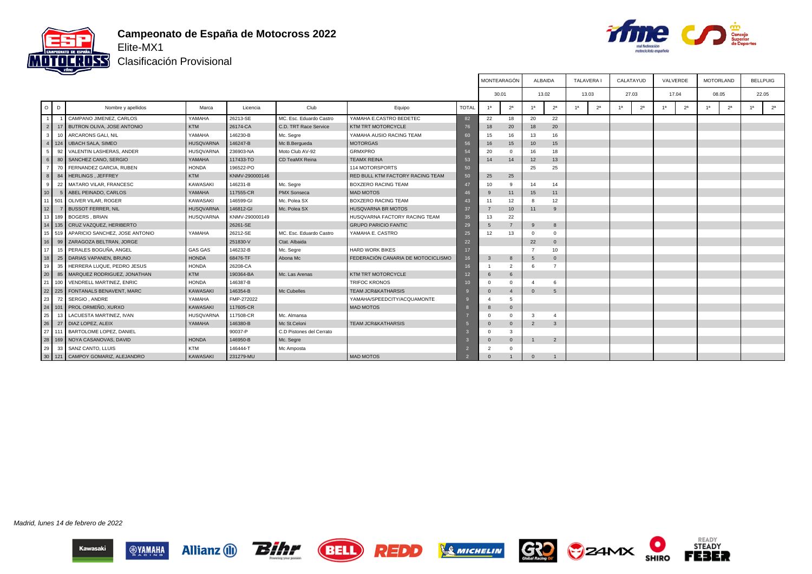

#### **Campeonato de España de Motocross 2022** Elite-MX1

Bihr

BELL

**REDD** 

**Allianz** (1)

**OVAMAHA** 



┰

┰

READY<br>STEADY

**FEBER** 

 $\bullet$ 

**SHIRO** 

CZAMX

Т

Clasificación Provisional

|                 |    |                                       |                  |                |                          |                                    |              | MONTEARAGON           |                  |                | ALBAIDA        | TALAVERA I     |                | CALATAYUD      |                |                | VALVERDE       |                | MOTORLAND      | <b>BELLPUIG</b> |
|-----------------|----|---------------------------------------|------------------|----------------|--------------------------|------------------------------------|--------------|-----------------------|------------------|----------------|----------------|----------------|----------------|----------------|----------------|----------------|----------------|----------------|----------------|-----------------|
|                 |    |                                       |                  |                |                          |                                    |              | 30.01                 |                  |                | 13.02          | 13.03          |                |                | 27.03          |                | 17.04          |                | 08.05          | 22.05           |
| $O$ $D$         |    | Nombre y apellidos                    | Marca            | Licencia       | Club                     | Equipo                             | <b>TOTAL</b> | 1 <sup>a</sup>        | 2 <sup>a</sup>   | 1а             | 2 <sup>a</sup> | 1 <sup>a</sup> | 2 <sup>a</sup> | 1 <sup>a</sup> | 2 <sup>a</sup> | 1 <sup>a</sup> | 2 <sup>a</sup> | 1 <sup>a</sup> | 2 <sup>a</sup> | 2 <sup>a</sup>  |
|                 |    | CAMPANO JIMENEZ, CARLOS               | YAMAHA           | 26213-SE       | MC. Esc. Eduardo Castro  | YAMAHA E.CASTRO BEDETEC            | 82           | 22                    | 18               | 20             | 22             |                |                |                |                |                |                |                |                |                 |
| 2 <sup>1</sup>  |    | 17 BUTRON OLIVA, JOSE ANTONIO         | KTM              | 26174-CA       | C.D. TRT Race Service    | <b>KTM TRT MOTORCYCLE</b>          | 76           | 18                    | 20               | 18             | 20             |                |                |                |                |                |                |                |                |                 |
| 3 <sup>1</sup>  |    | 10 ARCARONS GALI, NIL                 | YAMAHA           | 146230-B       | Mc. Segre                | YAMAHA AUSIO RACING TEAM           | 60           | 15                    | 16               | 13             | 16             |                |                |                |                |                |                |                |                |                 |
|                 |    | 124   UBACH SALA, SIMEO               | HUSQVARNA        | 146247-B       | Mc B.Bergueda            | <b>MOTORGAS</b>                    | 56           | 16                    | 15               | 10             | 15             |                |                |                |                |                |                |                |                |                 |
| 5 <sub>1</sub>  | 92 | VALENTIN LASHERAS, ANDER              | <b>HUSQVARNA</b> | 236903-NA      | Moto Club AV-92          | <b>GRMXPRO</b>                     | 54           | 20                    | $\mathbf{0}$     | 16             | 18             |                |                |                |                |                |                |                |                |                 |
| 6               | 80 | SANCHEZ CANO, SERGIO                  | YAMAHA           | 117433-TO      | <b>CD TeaMX Reina</b>    | <b>TEAMX REINA</b>                 | 53           | 14                    | 14               | 12             | 13             |                |                |                |                |                |                |                |                |                 |
|                 | 70 | FERNANDEZ GARCIA, RUBEN               | <b>HONDA</b>     | 196522-PO      |                          | 114 MOTORSPORTS                    | 50           |                       |                  | 25             | 25             |                |                |                |                |                |                |                |                |                 |
| 8 <sup>1</sup>  |    | 84 HERLINGS, JEFFREY                  | KTM              | KNMV-290000146 |                          | RED BULL KTM FACTORY RACING TEAM   | 50           | 25                    | 25               |                |                |                |                |                |                |                |                |                |                |                 |
| 9 I             |    | 22 MATARO VILAR, FRANCESC             | KAWASAKI         | 146231-B       | Mc. Segre                | <b>BOXZERO RACING TEAM</b>         | 47           | 10 <sup>1</sup>       | -9               | 14             | 14             |                |                |                |                |                |                |                |                |                 |
| 10 <sup>1</sup> |    | 5   ABEL PEINADO, CARLOS              | YAMAHA           | 117555-CR      | <b>PMX Sonseca</b>       | MAD MOTOS                          |              | 9                     | 11               | 15             | 11             |                |                |                |                |                |                |                |                |                 |
| 11 501          |    | OLIVER VILAR, ROGER                   | KAWASAKI         | 146599-GI      | Mc. Polea SX             | <b>BOXZERO RACING TEAM</b>         | 43           | 11                    | 12               | -8             | 12             |                |                |                |                |                |                |                |                |                 |
| 12 <sup>1</sup> |    | <b>BUSSOT FERRER, NIL</b>             | <b>HUSQVARNA</b> | 146812-GI      | Mc. Polea SX             | <b>HUSQVARNA BR MOTOS</b>          | 37           |                       | 10 <sup>10</sup> | 11             | 9              |                |                |                |                |                |                |                |                |                 |
|                 |    | 13 189 BOGERS, BRIAN                  | <b>HUSQVARNA</b> | KNMV-290000149 |                          | HUSQVARNA FACTORY RACING TEAM      | 35           | 13                    | 22               |                |                |                |                |                |                |                |                |                |                |                 |
|                 |    | 14   135   CRUZ VAZQUEZ, HERIBERTO    |                  | 26261-SE       |                          | <b>GRUPO PARICIO FANTIC</b>        | 29           | 5                     | $\overline{7}$   | 9              | 8              |                |                |                |                |                |                |                |                |                 |
|                 |    | 15 519 APARICIO SANCHEZ, JOSE ANTONIO | YAMAHA           | 26212-SE       | MC. Esc. Eduardo Castro  | YAMAHA E. CASTRO                   | 25           | 12                    | 13               | $\Omega$       | $^{\circ}$     |                |                |                |                |                |                |                |                |                 |
| 16 <sup>1</sup> |    | 99 ZARAGOZA BELTRAN, JORGE            |                  | 251830-V       | Ctat. Albaida            |                                    | 22           |                       |                  | 22             | $\mathbf{0}$   |                |                |                |                |                |                |                |                |                 |
| 17 <sup>1</sup> |    | 15 PERALES BOGUÑA, ANGEL              | <b>GAS GAS</b>   | 146232-B       | Mc. Segre                | <b>HARD WORK BIKES</b>             | 17           |                       |                  | $\overline{7}$ | 10             |                |                |                |                |                |                |                |                |                 |
| 18              | 25 | DARIAS VAPANEN, BRUNO                 | <b>HONDA</b>     | 68476-TF       | Abona Mc                 | FEDERACIÓN CANARIA DE MOTOCICLISMO | 16           | 3                     | 8                |                | $\Omega$       |                |                |                |                |                |                |                |                |                 |
| 19 <sup>1</sup> | 35 | HERRERA LUQUE, PEDRO JESUS            | <b>HONDA</b>     | 26208-CA       |                          |                                    | 16           |                       | 2                |                | $\overline{7}$ |                |                |                |                |                |                |                |                |                 |
| 20              | 85 | MARQUEZ RODRIGUEZ, JONATHAN           | KTM              | 190364-BA      | Mc. Las Arenas           | <b>KTM TRT MOTORCYCLE</b>          | 12           | 6                     | 6                |                |                |                |                |                |                |                |                |                |                |                 |
| 21              |    | 100 VENDRELL MARTINEZ, ENRIC          | <b>HONDA</b>     | 146387-B       |                          | <b>TRIFOC KRONOS</b>               | 10           | $\Omega$              | $\mathbf 0$      |                | 6              |                |                |                |                |                |                |                |                |                 |
|                 |    | 22 225 FONTANALS BENAVENT, MARC       | <b>KAWASAKI</b>  | 146354-B       | Mc Cubelles              | <b>TEAM JCR&amp;KATHARSIS</b>      |              | $\mathbf{0}$          | $\overline{4}$   | $\Omega$       | 5              |                |                |                |                |                |                |                |                |                 |
| 23              |    | 72 SERGIO, ANDRE                      | YAMAHA           | FMP-272022     |                          | YAMAHA/SPEEDCITY/ACQUAMONTE        |              | $\boldsymbol{\Delta}$ | 5                |                |                |                |                |                |                |                |                |                |                |                 |
|                 |    | 24   101   PROL ORMEÑO, XURXO         | <b>KAWASAKI</b>  | 117605-CR      |                          | <b>MAD MOTOS</b>                   |              | 8                     | $\mathbf{0}$     |                |                |                |                |                |                |                |                |                |                |                 |
| 25              |    | 13   LACUESTA MARTINEZ, IVAN          | <b>HUSQVARNA</b> | 117508-CR      | Mc. Almansa              |                                    |              | $\Omega$              | $\Omega$         | $\mathbf{3}$   | $\overline{4}$ |                |                |                |                |                |                |                |                |                 |
| 26 <sup>1</sup> |    | 27   DIAZ LOPEZ, ALEIX                | YAMAHA           | 146380-B       | Mc St.Celoni             | <b>TEAM JCR&amp;KATHARSIS</b>      |              | $\Omega$              | $\overline{0}$   | $\overline{2}$ | $\mathbf{3}$   |                |                |                |                |                |                |                |                |                 |
|                 |    | 27 111 BARTOLOME LOPEZ, DANIEL        |                  | 90037-P        | C.D Pistones del Cerrato |                                    |              | $\Omega$              | 3                |                |                |                |                |                |                |                |                |                |                |                 |
| $\frac{1}{28}$  |    | 169 NOYA CASANOVAS, DAVID             | <b>HONDA</b>     | 146950-B       | Mc. Segre                |                                    |              | $\Omega$              | $\mathbf{0}$     |                | 2              |                |                |                |                |                |                |                |                |                 |
| 29              |    | 33 SANZ CANTO, LLUIS                  | <b>KTM</b>       | 146444-T       | Mc Amposta               |                                    |              |                       | $\Omega$         |                |                |                |                |                |                |                |                |                |                |                 |
|                 |    | 30 121 CAMPOY GOMARIZ, ALEJANDRO      | KAWASAKI         | 231279-MU      |                          | <b>MAD MOTOS</b>                   |              | $\Omega$              |                  | $\Omega$       |                |                |                |                |                |                |                |                |                |                 |

 $\Gamma$ 

 $\overline{a}$ 

GRO

**SMICHELIN** 

Т

┰

Madrid, lunes 14 de febrero de 2022

Kawasaki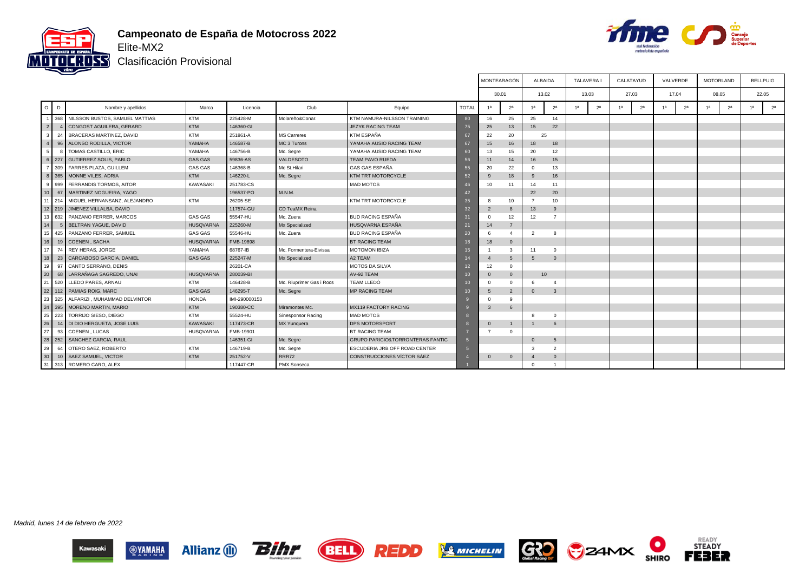



Clasificación Provisional

|                 |            |                                    |                  |               |                          |                                             |                 | MONTEARAGÓN    |                |                | <b>ALBAIDA</b> | <b>TALAVERA I</b> |                | CALATAYUD      |                | VALVERDE       |    | <b>MOTORLAND</b> | <b>BELLPUIG</b> |
|-----------------|------------|------------------------------------|------------------|---------------|--------------------------|---------------------------------------------|-----------------|----------------|----------------|----------------|----------------|-------------------|----------------|----------------|----------------|----------------|----|------------------|-----------------|
|                 |            |                                    |                  |               |                          |                                             |                 | 30.01          |                |                | 13.02          | 13.03             |                | 27.03          |                | 17.04          |    | 08.05            | 22.05           |
| $\circ$         | D          | Nombre y apellidos                 | Marca            | Licencia      | Club                     | Equipo                                      | <b>TOTAL</b>    | 1a             | 2 <sup>a</sup> | 1a             | 2 <sup>a</sup> | 1 <sup>a</sup>    | 2 <sup>a</sup> | 1 <sup>a</sup> | 2 <sup>a</sup> | 2 <sup>a</sup> | 1a | 2 <sup>a</sup>   | 2 <sup>a</sup>  |
|                 |            | 368 NILSSON BUSTOS, SAMUEL MATTIAS | KTM              | 225428-M      | Molareño&Conar.          | KTM NAMURA-NILSSON TRAINING                 | 80              | 16             | 25             | 25             | 14             |                   |                |                |                |                |    |                  |                 |
| 2 <sup>1</sup>  |            | CONGOST AGUILERA, GERARD           | KTM              | 146360-GI     |                          | <b>JEZYK RACING TEAM</b>                    | 75              | 25             | 13             | 15             | 22             |                   |                |                |                |                |    |                  |                 |
| 3               | 24         | BRACERAS MARTINEZ, DAVID           | <b>KTM</b>       | 251861-A      | <b>MS Carreres</b>       | KTM ESPAÑA                                  | 67              | 22             | 20             |                | 25             |                   |                |                |                |                |    |                  |                 |
|                 | 96         | ALONSO RODILLA, VICTOR             | YAMAHA           | 146587-B      | MC 3 Turons              | YAMAHA AUSIO RACING TEAM                    | 67              | 15             | 16             | 18             | 18             |                   |                |                |                |                |    |                  |                 |
| 5 <sub>1</sub>  |            | TOMAS CASTILLO, ERIC               | YAMAHA           | 146756-B      | Mc. Segre                | YAMAHA AUSIO RACING TEAM                    | 60              | 13             | 15             | 20             | 12             |                   |                |                |                |                |    |                  |                 |
| 6 I             | 227        | <b>GUTIERREZ SOLIS, PABLO</b>      | <b>GAS GAS</b>   | 59836-AS      | VALDESOTO                | <b>TEAM PAVO RUEDA</b>                      | 56              | 11             | 14             | 16             | 15             |                   |                |                |                |                |    |                  |                 |
|                 | 309        | <b>FARRES PLAZA, GUILLEM</b>       | <b>GAS GAS</b>   | 146368-B      | Mc St.Hilari             | <b>GAS GAS ESPAÑA</b>                       | 55              | 20             | 22             | $\Omega$       | 13             |                   |                |                |                |                |    |                  |                 |
| 8               |            | 365 MONNE VILES, ADRIA             | KTM              | 146220-L      | Mc. Segre                | KTM TRT MOTORCYCLE                          | 52              | $\mathbf{q}$   | 18             | 9              | 16             |                   |                |                |                |                |    |                  |                 |
|                 | 999        | FERRANDIS TORMOS, AITOR            | <b>KAWASAKI</b>  | 251783-CS     |                          | <b>MAD MOTOS</b>                            | 46              | 10             | 11             | 14             | 11             |                   |                |                |                |                |    |                  |                 |
| 10 <sup>1</sup> | 67         | MARTINEZ NOGUEIRA, YAGO            |                  | 196537-PO     | M.N.M.                   |                                             | 42              |                |                | 22             | 20             |                   |                |                |                |                |    |                  |                 |
| 11 <b>I</b>     | 214        | MIGUEL HERNANSANZ, ALEJANDRO       | <b>KTM</b>       | 26205-SE      |                          | KTM TRT MOTORCYCLE                          | 35              | 8              | 10             | $\overline{7}$ | 10             |                   |                |                |                |                |    |                  |                 |
|                 | $12$   219 | JIMENEZ VILLALBA, DAVID            |                  | 117574-GU     | CD TeaMX Reina           |                                             | 32 <sup>2</sup> | $\overline{2}$ | $\mathbf{8}$   | 13             | 9              |                   |                |                |                |                |    |                  |                 |
| 13 <sup>1</sup> | 632        | PANZANO FERRER, MARCOS             | <b>GAS GAS</b>   | 55547-HU      | Mc. Zuera                | <b>BUD RACING ESPAÑA</b>                    | 31              | $\Omega$       | 12             | 12             | 7              |                   |                |                |                |                |    |                  |                 |
| 14              |            | BELTRAN YAGUE, DAVID               | <b>HUSQVARNA</b> | 225260-M      | Mx Specialized           | HUSQVARNA ESPAÑA                            | 21              | 14             | $\overline{7}$ |                |                |                   |                |                |                |                |    |                  |                 |
| 15 <sup>1</sup> | 425        | PANZANO FERRER, SAMUEL             | <b>GAS GAS</b>   | 55546-HU      | Mc. Zuera                | <b>BUD RACING ESPAÑA</b>                    | 20              | 6              | 4              | $\overline{2}$ | 8              |                   |                |                |                |                |    |                  |                 |
| 16              | 19         | COENEN, SACHA                      | <b>HUSQVARNA</b> | FMB-19898     |                          | <b>BT RACING TEAM</b>                       | 18              | 18             | $\mathbf{0}$   |                |                |                   |                |                |                |                |    |                  |                 |
| 17 <sup>1</sup> | 74         | <b>REY HERAS, JORGE</b>            | YAMAHA           | 68767-IB      | Mc. Formentera-Eivissa   | <b>MOTOMON IBIZA</b>                        | 15              |                | 3              | 11             | $^{\circ}$     |                   |                |                |                |                |    |                  |                 |
| 18              | 23         | CARCABOSO GARCIA, DANIEL           | <b>GAS GAS</b>   | 225247-M      | Mx Specialized           | A2 TEAM                                     |                 | $\overline{4}$ | 5              | 5              | $\overline{0}$ |                   |                |                |                |                |    |                  |                 |
| 19 <sup>1</sup> | 97         | CANTO SERRANO, DENIS               |                  | 26201-CA      |                          | MOTOS DA SILVA                              | 12              | 12             | $^{\circ}$     |                |                |                   |                |                |                |                |    |                  |                 |
| 20              | 68         | LARRAÑAGA SAGREDO, UNAI            | HUSQVARNA        | 280039-BI     |                          | AV-92 TEAM                                  | 10              | $\mathbf{0}$   | $\mathbf{0}$   |                | 10             |                   |                |                |                |                |    |                  |                 |
| 21              | 520        | LLEDO PARES, ARNAU                 | <b>KTM</b>       | 146428-B      | Mc. Riuprimer Gas i Rocs | <b>TEAM LLEDÓ</b>                           | 10              | $\Omega$       | $^{\circ}$     |                | $\Delta$       |                   |                |                |                |                |    |                  |                 |
| 22              |            | 112 PAMIAS ROIG, MARC              | <b>GAS GAS</b>   | 146295-T      | Mc. Segre                | <b>MP RACING TEAM</b>                       | 10              | 5              | $\overline{2}$ | $\Omega$       | $\mathbf{3}$   |                   |                |                |                |                |    |                  |                 |
| 23              | 325        | ALFARIZI, MUHAMMAD DELVINTOR       | <b>HONDA</b>     | IMI-290000153 |                          |                                             |                 | $\Omega$       | 9              |                |                |                   |                |                |                |                |    |                  |                 |
| 24              | 395        | MORENO MARTIN, MARIO               | KTM              | 190380-CC     | Miramontes Mc.           | MX119 FACTORY RACING                        |                 | 3              | 6              |                |                |                   |                |                |                |                |    |                  |                 |
| 25              | 223        | TORRIJO SIESO, DIEGO               | <b>KTM</b>       | 55524-HU      | Sinesponsor Racing       | <b>MAD MOTOS</b>                            |                 |                |                | 8              | $\Omega$       |                   |                |                |                |                |    |                  |                 |
| 26              | 14         | DI DIO HERGUETA, JOSE LUIS         | <b>KAWASAKI</b>  | 117473-CR     | MX Yunquera              | <b>DPS MOTORSPORT</b>                       |                 | $\mathbf{0}$   | $\overline{1}$ |                | 6              |                   |                |                |                |                |    |                  |                 |
| 27              | 93         | COENEN . LUCAS                     | <b>HUSQVARNA</b> | FMB-19901     |                          | <b>BT RACING TEAM</b>                       |                 | 7              | $\Omega$       |                |                |                   |                |                |                |                |    |                  |                 |
| 28              | 252        | <b>SANCHEZ GARCIA, RAUL</b>        |                  | 146351-GI     | Mc. Segre                | <b>GRUPO PARICIO&amp;TORRONTERAS FANTIC</b> |                 |                |                | $\Omega$       | -5             |                   |                |                |                |                |    |                  |                 |
| 29              | 64         | OTERO SAEZ, ROBERTO                | <b>KTM</b>       | 146719-B      | Mc. Segre                | ESCUDERIA JRB OFF ROAD CENTER               | $\sqrt{5}$      |                |                | $\mathbf{3}$   | 2              |                   |                |                |                |                |    |                  |                 |
| 30              | 10         | <b>SAEZ SAMUEL, VICTOR</b>         | KTM              | 251752-V      | RRR72                    | CONSTRUCCIONES VÍCTOR SÁEZ                  |                 | $\mathbf 0$    | $\mathbf{0}$   |                | $\mathbf{0}$   |                   |                |                |                |                |    |                  |                 |
| 31              | 313        | ROMERO CARO, ALEX                  |                  | 117447-CR     | PMX Sonseca              |                                             |                 |                |                |                |                |                   |                |                |                |                |    |                  |                 |

Madrid, lunes 14 de febrero de 2022













 $\bullet$ 

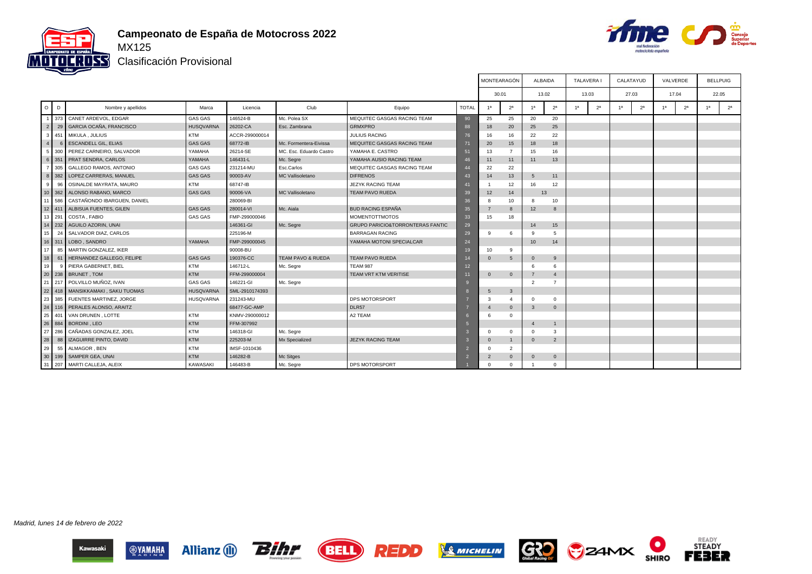



T

┰

Clasificación Provisional

|                |                |                                   |                  |                |                              | MONTEARAGON                                 | ALBAIDA      |                | TALAVERA       |                        | CALATAYUD      |                | VALVERDE       |                |                | BELLPUIG       |                |                |                |
|----------------|----------------|-----------------------------------|------------------|----------------|------------------------------|---------------------------------------------|--------------|----------------|----------------|------------------------|----------------|----------------|----------------|----------------|----------------|----------------|----------------|----------------|----------------|
|                |                |                                   |                  |                |                              |                                             |              |                | 30.01          | 13.02                  |                |                | 13.03          | 27.03          |                | 17.04          |                |                | 22.05          |
|                | $O$ $D$        | Nombre y apellidos                | Marca            | Licencia       | Club                         | Equipo                                      | <b>TOTAL</b> | 1 <sup>a</sup> | 2 <sup>a</sup> | 1a                     | 2 <sup>a</sup> | 1 <sup>a</sup> | 2 <sup>a</sup> | 1 <sup>a</sup> | 2 <sup>a</sup> | 1 <sup>a</sup> | 2 <sup>a</sup> | 1 <sup>a</sup> | 2 <sup>a</sup> |
|                |                | 373 CANET ARDEVOL, EDGAR          | <b>GAS GAS</b>   | 146524-B       | Mc. Polea SX                 | MEQUITEC GASGAS RACING TEAM                 | 90           | 25             | 25             | 20                     | 20             |                |                |                |                |                |                |                |                |
|                | 29<br>2        | GARCIA OCAÑA, FRANCISCO           | <b>HUSQVARNA</b> | 26202-CA       | Esc. Zambrana                | <b>GRMXPRO</b>                              | 88           | 18             | 20             | 25                     | 25             |                |                |                |                |                |                |                |                |
| 3              | 451            | MIKULA, JULIUS                    | <b>KTM</b>       | ACCR-299000014 |                              | <b>JULIUS RACING</b>                        | 76           | 16             | 16             | 22                     | 22             |                |                |                |                |                |                |                |                |
| $\overline{4}$ |                | <b>ESCANDELL GIL, ELIAS</b>       | <b>GAS GAS</b>   | 68772-IB       | Mc. Formentera-Eivissa       | MEQUITEC GASGAS RACING TEAM                 | 71           | 20             | 15             | 18                     | 18             |                |                |                |                |                |                |                |                |
|                | 5 <sub>1</sub> | 300 PEREZ CARNEIRO, SALVADOR      | YAMAHA           | 26214-SE       | MC, Esc. Eduardo Castro      | YAMAHA E. CASTRO                            | 51           | 13             | $\overline{7}$ | 15                     | 16             |                |                |                |                |                |                |                |                |
|                | 6 351          | <b>PRAT SENDRA, CARLOS</b>        | YAMAHA           | 146431-L       | Mc. Segre                    | YAMAHA AUSIO RACING TEAM                    | 46           | 11             | 11             | 11                     | 13             |                |                |                |                |                |                |                |                |
|                | 305            | <b>GALLEGO RAMOS, ANTONIO</b>     | <b>GAS GAS</b>   | 231214-MU      | Esc.Carlos                   | MEQUITEC GASGAS RACING TEAM                 | $\Lambda$    | 22             | 22             |                        |                |                |                |                |                |                |                |                |                |
|                | 8 <sup>1</sup> | 382 LOPEZ CARRERAS, MANUEL        | <b>GAS GAS</b>   | 90003-AV       | MC Vallisoletano             | <b>DIFRENOS</b>                             | 43           | 14             | 13             | 5                      | 11             |                |                |                |                |                |                |                |                |
|                | 9 <sup>1</sup> | 96 OSINALDE MAYRATA, MAURO        | <b>KTM</b>       | 68747-IB       |                              | JEZYK RACING TEAM                           | 41           |                | 12             | 16                     | 12             |                |                |                |                |                |                |                |                |
|                |                | 10 362 ALONSO RABANO, MARCO       | <b>GAS GAS</b>   | 90006-VA       | MC Vallisoletano             | <b>TEAM PAVO RUEDA</b>                      | 39           | 12             | 14             |                        | 13             |                |                |                |                |                |                |                |                |
| 11             | 586            | CASTAÑONDO IBARGUEN, DANIEL       |                  | 280069-BI      |                              |                                             | 36           | 8              | 10             | 8                      | 10             |                |                |                |                |                |                |                |                |
| 12             | 411            | ALBISUA FUENTES, GILEN            | <b>GAS GAS</b>   | 280014-VI      | Mc. Aiala                    | <b>BUD RACING ESPAÑA</b>                    | 35           | $\overline{7}$ | 8              | 12                     | 8              |                |                |                |                |                |                |                |                |
| 13             | 291            | COSTA, FABIO                      | <b>GAS GAS</b>   | FMP-299000046  |                              | <b>MOMENTOTTMOTOS</b>                       | 33           | 15             | 18             |                        |                |                |                |                |                |                |                |                |                |
|                | 14 232         | AGUILO AZORIN, UNAI               |                  | 146361-GI      | Mc. Segre                    | <b>GRUPO PARICIO&amp;TORRONTERAS FANTIC</b> | 29           |                |                | 14                     | 15             |                |                |                |                |                |                |                |                |
| 15             | 24             | SALVADOR DIAZ, CARLOS             |                  | 225196-M       |                              | <b>BARRAGAN RACING</b>                      | 29           | 9              | 6              | -9                     | 5              |                |                |                |                |                |                |                |                |
|                |                | 16 311 LOBO, SANDRO               | YAMAHA           | FMP-299000045  |                              | YAMAHA MOTONI SPECIALCAR                    | 24           |                |                | 10                     | 14             |                |                |                |                |                |                |                |                |
| 17             |                | 85 MARTIN GONZALEZ, IKER          |                  | 90008-BU       |                              |                                             |              | 10             | 9              |                        |                |                |                |                |                |                |                |                |                |
| 18             |                | 61 HERNANDEZ GALLEGO, FELIPE      | <b>GAS GAS</b>   | 190376-CC      | <b>TEAM PAVO &amp; RUEDA</b> | <b>TEAM PAVO RUEDA</b>                      |              | $\Omega$       | 5              | $\overline{0}$         | 9              |                |                |                |                |                |                |                |                |
| 19             | -9             | PIERA GABERNET, BIEL              | <b>KTM</b>       | 146712-L       | Mc. Segre                    | <b>TEAM 987</b>                             | 12           |                |                | -6                     | 6              |                |                |                |                |                |                |                |                |
|                |                | 20 238 BRUNET, TOM                | <b>KTM</b>       | FFM-299000004  |                              | TEAM VRT KTM VERITISE                       | ю            | $\mathbf{0}$   | $\mathbf 0$    | $\overline{7}$         | $\overline{4}$ |                |                |                |                |                |                |                |                |
| 21             |                | 217 POLVILLO MUÑOZ, IVAN          | <b>GAS GAS</b>   | 146221-GI      | Mc. Segre                    |                                             |              |                |                | $\overline{2}$         | $\overline{7}$ |                |                |                |                |                |                |                |                |
| 22             | 418            | MANSIKKAMAKI, SAKU TUOMAS         | <b>HUSQVARNA</b> | SML-2910174393 |                              |                                             |              | 5              | $\mathbf{3}$   |                        |                |                |                |                |                |                |                |                |                |
| 23             |                | 385 FUENTES MARTINEZ, JORGE       | <b>HUSQVARNA</b> | 231243-MU      |                              | DPS MOTORSPORT                              |              | 3              | $\overline{4}$ | $\Omega$               | $\Omega$       |                |                |                |                |                |                |                |                |
|                |                | 24   116   PERALES ALONSO, ARAITZ |                  | 68477-GC-AMP   |                              | DLR57                                       |              | $\mathbf{A}$   | $\mathbf{0}$   | $\overline{3}$         | $\mathbf{0}$   |                |                |                |                |                |                |                |                |
| 25             | 401            | VAN DRUNEN, LOTTE                 | <b>KTM</b>       | KNMV-290000012 |                              | A2 TEAM                                     |              | 6              | $\mathbf{0}$   |                        |                |                |                |                |                |                |                |                |                |
| 26             | 884            | <b>BORDINI</b> , LEO              | <b>KTM</b>       | FFM-307992     |                              |                                             |              |                |                | $\boldsymbol{\Lambda}$ | $\mathbf{1}$   |                |                |                |                |                |                |                |                |
| 27             | 286            | CAÑADAS GONZALEZ, JOEL            | <b>KTM</b>       | 146318-GI      | Mc. Segre                    |                                             |              | $\Omega$       | $\mathbf{0}$   | $\overline{0}$         | 3              |                |                |                |                |                |                |                |                |
| 28             | 88             | IZAGUIRRE PINTO, DAVID            | <b>KTM</b>       | 225203-M       | Mx Specialized               | <b>JEZYK RACING TEAM</b>                    |              | $\Omega$       | $\overline{1}$ | $\overline{0}$         | 2              |                |                |                |                |                |                |                |                |
| 29             | 55             | ALMAGOR, BEN                      | <b>KTM</b>       | IMSF-1010436   |                              |                                             |              | $\Omega$       | $\overline{2}$ |                        |                |                |                |                |                |                |                |                |                |
| 30             | 199            | SAMPER GEA, UNAI                  | <b>KTM</b>       | 146282-B       | Mc Sitges                    |                                             |              | $\overline{2}$ | $\mathbf{0}$   | $\overline{0}$         | $\mathbf{0}$   |                |                |                |                |                |                |                |                |
| 31             |                | 207 MARTI CALLEJA, ALEIX          | <b>KAWASAKI</b>  | 146483-B       | Mc. Segre                    | DPS MOTORSPORT                              |              | $\Omega$       | $\mathbf{0}$   |                        | $\Omega$       |                |                |                |                |                |                |                |                |

 $\Gamma$ 

 $\sim$ 

┱

┱

Madrid, lunes 14 de febrero de 2022













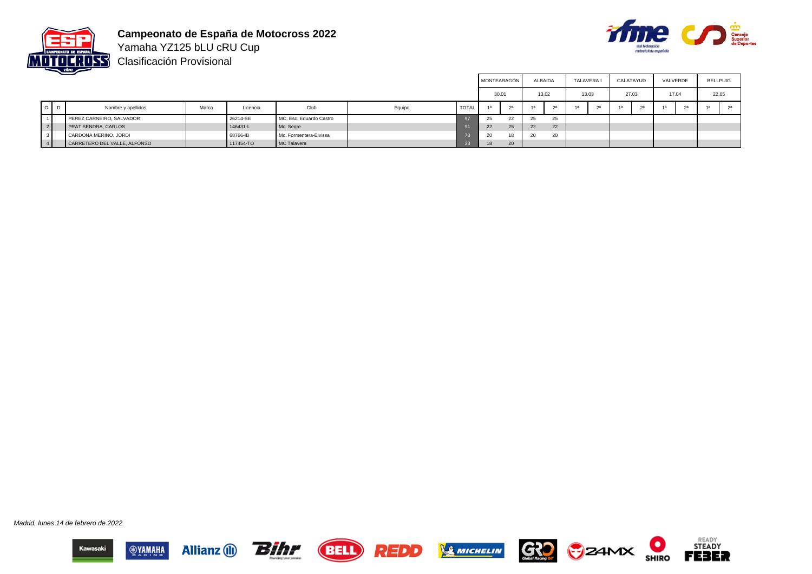

**Campeonato de España de Motocross 2022** Yamaha YZ125 bLU cRU Cup



Clasificación Provisional

|                |                              |       |           |                         |        |              | MONTEARAGÓN |                |       | <b>ALBAIDA</b> | <b>TALAVERA</b> |       | CALATAYUD      |       | VALVERDE | <b>BELLPUIG</b> |
|----------------|------------------------------|-------|-----------|-------------------------|--------|--------------|-------------|----------------|-------|----------------|-----------------|-------|----------------|-------|----------|-----------------|
|                |                              |       |           |                         |        |              | 30.01       |                | 13.02 |                |                 | 13.03 | 27.03          | 17.04 |          | 22.05           |
| $O$ $D$        | Nombre y apellidos           | Marca | Licencia  | Club                    | Equipo | <b>TOTAL</b> | 1a          | 2 <sup>a</sup> | 1a    | $\alpha$       | 1a              | 2a    | 2 <sup>a</sup> | 4a    | ാദ       | $\alpha$        |
|                | PEREZ CARNEIRO, SALVADOR     |       | 26214-SE  | MC. Esc. Eduardo Castro |        |              | 25          | 22             | 25    | $\sim$<br>- 45 |                 |       |                |       |          |                 |
| 2 <sup>1</sup> | <b>PRAT SENDRA, CARLOS</b>   |       | 146431-L  | Mc. Segre               |        |              | 22          | 25             | 22    | 22             |                 |       |                |       |          |                 |
|                | CARDONA MERINO, JORDI        |       | 68766-IB  | Mc. Formentera-Eivissa  |        |              | 20          | 18             | 20    | $\sim$<br>ZU.  |                 |       |                |       |          |                 |
|                | CARRETERO DEL VALLE, ALFONSO |       | 117454-TO | MC Talavera             |        |              |             | 20             |       |                |                 |       |                |       |          |                 |

Madrid, lunes 14 de febrero de 2022













О

**SHIRO** 

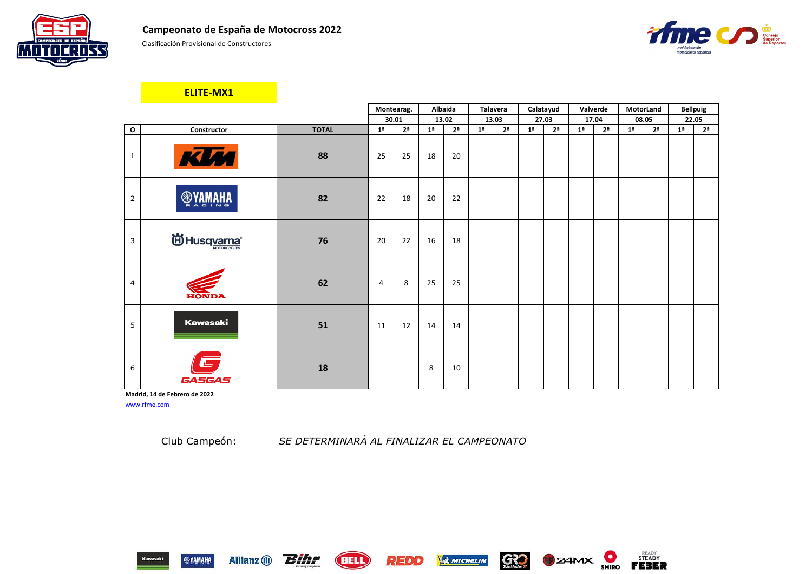Clasificación Provisional de Constructores

|                |                               |              |                | Montearag.     |                | Albaida        | <b>Talavera</b> |                |                | Calatayud      | Valverde       |                |                | <b>MotorLand</b> |                | <b>Bellpuig</b> |
|----------------|-------------------------------|--------------|----------------|----------------|----------------|----------------|-----------------|----------------|----------------|----------------|----------------|----------------|----------------|------------------|----------------|-----------------|
|                |                               |              |                | 30.01          |                | 13.02          |                 | 13.03          |                | 27.03          |                | 17.04          |                | 08.05            |                | 22.05           |
| $\mathbf 0$    | Constructor                   | <b>TOTAL</b> | 1 <sup>a</sup> | 2 <sup>a</sup> | 1 <sup>a</sup> | 2 <sup>a</sup> | 1 <sup>a</sup>  | 2 <sup>a</sup> | 1 <sup>a</sup> | 2 <sup>a</sup> | 1 <sup>a</sup> | 2 <sup>a</sup> | 1 <sup>a</sup> | 2 <sup>a</sup>   | 1 <sup>a</sup> | 2 <sup>a</sup>  |
| $\mathbf{1}$   | KIM                           | 88           | 25             | 25             | 18             | 20             |                 |                |                |                |                |                |                |                  |                |                 |
| $\overline{2}$ | <b>SANAHA</b>                 | 82           | 22             | 18             | 20             | 22             |                 |                |                |                |                |                |                |                  |                |                 |
| 3              | id Husqvarna®                 | 76           | 20             | 22             | 16             | 18             |                 |                |                |                |                |                |                |                  |                |                 |
| $\overline{4}$ | <b>HONDA</b>                  | 62           | 4              | 8              | 25             | 25             |                 |                |                |                |                |                |                |                  |                |                 |
| 5              | <b>Kawasaki</b>               | 51           | 11             | 12             | 14             | 14             |                 |                |                |                |                |                |                |                  |                |                 |
| 6              | GASGAS                        | 18           |                |                | 8              | 10             |                 |                |                |                |                |                |                |                  |                |                 |
|                | Madrid, 14 de Febrero de 2022 |              |                |                |                |                |                 |                |                |                |                |                |                |                  |                |                 |

[www.rfme.com](http://www.rfme.com/)

Allianz (i) **Bihr** 

**ELITE-MX1**

Club Campeón: *SE DETERMINARÁ AL FINALIZAR EL CAMPEONATO*













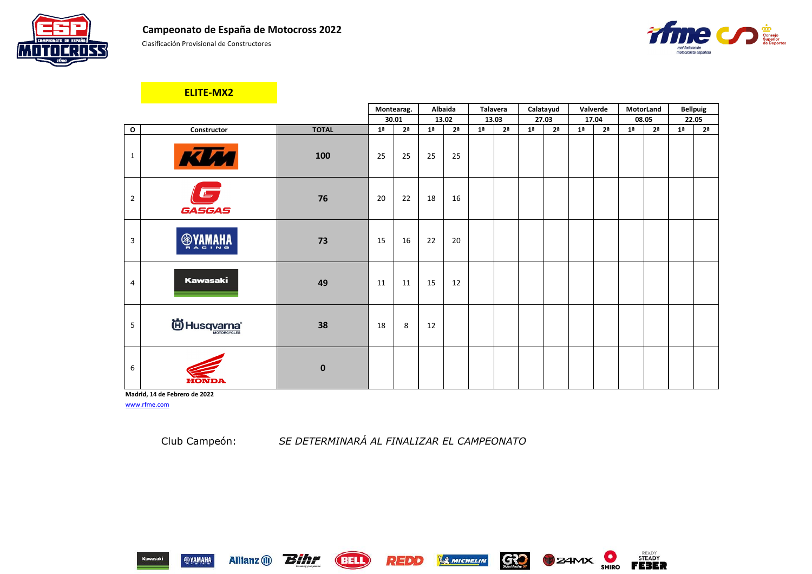Clasificación Provisional de Constructores

|                |                                   |              |                | Montearag.     |                | Albaida        | <b>Talavera</b> |                | Calatayud      |                | Valverde       |                | MotorLand      |                |                | <b>Bellpuig</b> |
|----------------|-----------------------------------|--------------|----------------|----------------|----------------|----------------|-----------------|----------------|----------------|----------------|----------------|----------------|----------------|----------------|----------------|-----------------|
|                |                                   |              |                | 30.01          |                | 13.02          | 13.03           |                | 27.03          |                |                | 17.04          | 08.05          |                |                | 22.05           |
| $\mathbf{o}$   | Constructor                       | <b>TOTAL</b> | 1 <sup>a</sup> | 2 <sup>a</sup> | 1 <sup>a</sup> | 2 <sup>a</sup> | 1 <sup>a</sup>  | 2 <sup>a</sup> | 1 <sup>a</sup> | 2 <sup>a</sup> | 1 <sup>a</sup> | 2 <sup>a</sup> | 1 <sup>a</sup> | 2 <sup>a</sup> | 1 <sup>a</sup> | 2 <sup>a</sup>  |
| $\mathbf{1}$   | KUM                               | 100          | 25             | 25             | 25             | 25             |                 |                |                |                |                |                |                |                |                |                 |
| $\overline{2}$ | $\overline{\mathbb{Z}}$<br>GASGAS | 76           | 20             | 22             | 18             | 16             |                 |                |                |                |                |                |                |                |                |                 |
| 3              | <b>®YAMA</b><br>w Indian          | 73           | 15             | 16             | 22             | 20             |                 |                |                |                |                |                |                |                |                |                 |
| $\overline{4}$ | <b>Kawasaki</b>                   | 49           | 11             | 11             | 15             | 12             |                 |                |                |                |                |                |                |                |                |                 |
| 5 <sub>1</sub> | id Husq <u>varna</u> ®            | 38           | 18             | 8              | 12             |                |                 |                |                |                |                |                |                |                |                |                 |
| 6              | EONDZ                             | $\mathbf 0$  |                |                |                |                |                 |                |                |                |                |                |                |                |                |                 |

**Madrid, 14 de Febrero de 2022** [www.rfme.com](http://www.rfme.com/)

Allianz (i) **Bihr** 

Club Campeón: *SE DETERMINARÁ AL FINALIZAR EL CAMPEONATO*

REDD

**BELL** 







**B** ZAMX

GRO

& MICHELIN

## **ELITE-MX2**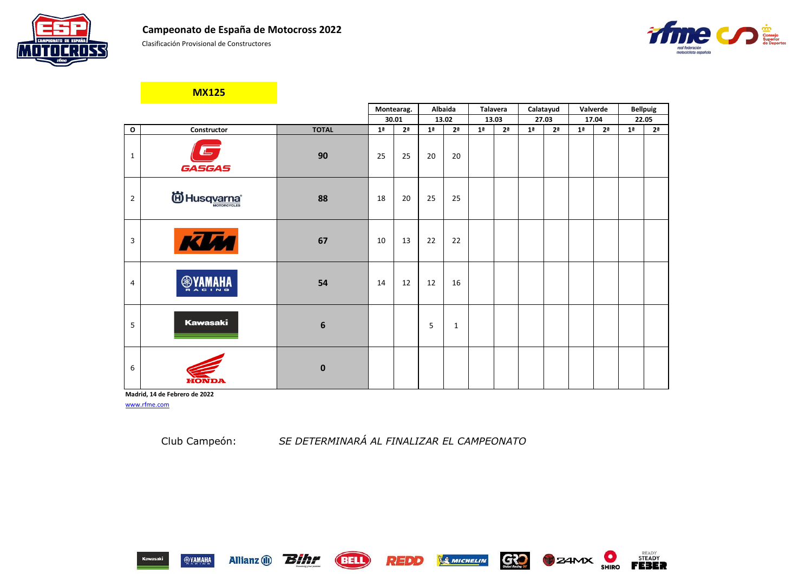Clasificación Provisional de Constructores



**Madrid, 14 de Febrero de 2022** [www.rfme.com](http://www.rfme.com/)

Allianz (i) **Bihr** 

|                |                           |              |                | Montearag.     |                | Albaida        |                | <b>Talavera</b> |                | Calatayud      |                | Valverde       |                | <b>Bellpuig</b> |
|----------------|---------------------------|--------------|----------------|----------------|----------------|----------------|----------------|-----------------|----------------|----------------|----------------|----------------|----------------|-----------------|
|                |                           |              |                | 30.01          |                | 13.02          |                | 13.03           |                | 27.03          |                | 17.04          |                | 22.05           |
| $\mathbf 0$    | Constructor               | <b>TOTAL</b> | 1 <sup>a</sup> | 2 <sup>a</sup> | 1 <sup>a</sup> | 2 <sup>a</sup> | 1 <sup>a</sup> | 2 <sup>a</sup>  | 1 <sup>a</sup> | 2 <sup>a</sup> | 1 <sup>a</sup> | 2 <sup>a</sup> | 1 <sup>a</sup> | 2 <sup>a</sup>  |
| $\mathbf{1}$   | <b>GASGAS</b>             | 90           | 25             | 25             | 20             | 20             |                |                 |                |                |                |                |                |                 |
| $\overline{2}$ | id Husqvarna <sup>®</sup> | 88           | 18             | 20             | 25             | 25             |                |                 |                |                |                |                |                |                 |
| 3              | KIM                       | 67           | 10             | 13             | 22             | 22             |                |                 |                |                |                |                |                |                 |
| 4              | <b>AHAMAYS</b>            | 54           | 14             | 12             | 12             | 16             |                |                 |                |                |                |                |                |                 |
| 5              | <b>Kawasaki</b>           | 6            |                |                | 5              | $\mathbf{1}$   |                |                 |                |                |                |                |                |                 |
| 6              | ĦО                        | $\mathbf 0$  |                |                |                |                |                |                 |                |                |                |                |                |                 |

Club Campeón: *SE DETERMINARÁ AL FINALIZAR EL CAMPEONATO*

REDD

**(BELL)** 

**SMICHELIN** 







|    | <b>Bellpuig</b> |
|----|-----------------|
|    | 22.05           |
| 1ª | 2ª              |
|    |                 |
|    |                 |
|    |                 |
|    |                 |
|    |                 |
|    |                 |
|    |                 |
|    |                 |
|    |                 |
|    |                 |
|    |                 |
|    |                 |
|    |                 |
|    |                 |
|    |                 |
|    |                 |
|    |                 |
|    |                 |
|    |                 |
|    |                 |
|    |                 |
|    |                 |
|    |                 |
|    |                 |

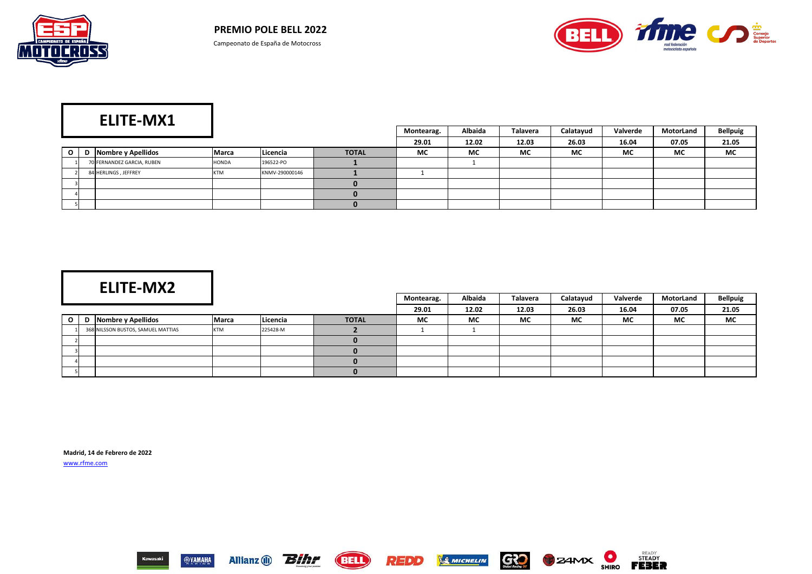



|          | ____                       |              |                |              | Montearag. | <b>Albaida</b> | <b>Talavera</b> | Calatayud | Valverde  | MotorLand | <b>Bellpuig</b> |
|----------|----------------------------|--------------|----------------|--------------|------------|----------------|-----------------|-----------|-----------|-----------|-----------------|
|          |                            |              |                |              | 29.01      | 12.02          | 12.03           | 26.03     | 16.04     | 07.05     | 21.05           |
| $\Omega$ | D Nombre y Apellidos       | <b>Marca</b> | Licencia       | <b>TOTAL</b> | <b>MC</b>  | <b>MC</b>      | <b>MC</b>       | <b>MC</b> | <b>MC</b> | <b>MC</b> | <b>MC</b>       |
|          | 70 FERNANDEZ GARCIA, RUBEN | HONDA        | 196522-PO      |              |            |                |                 |           |           |           |                 |
|          | 84 HERLINGS, JEFFREY       | <b>KTM</b>   | KNMV-290000146 |              |            |                |                 |           |           |           |                 |
|          |                            |              |                |              |            |                |                 |           |           |           |                 |
|          |                            |              |                |              |            |                |                 |           |           |           |                 |
|          |                            |              |                |              |            |                |                 |           |           |           |                 |

|           |                | ___. . _                           |            |          |              | Montearag. | Albaida | Talavera | Calatayud | Valverde | MotorLand | <b>Bellpuig</b> |
|-----------|----------------|------------------------------------|------------|----------|--------------|------------|---------|----------|-----------|----------|-----------|-----------------|
|           |                |                                    |            |          |              | 29.01      | 12.02   | 12.03    | 26.03     | 16.04    | 07.05     | 21.05           |
| $\circ$ 1 |                | Nombre y Apellidos                 | Marca      | Licencia | <b>TOTAL</b> | <b>MC</b>  | МC      | МC       | <b>MC</b> | МC       | <b>MC</b> | <b>MC</b>       |
|           |                | 368 NILSSON BUSTOS, SAMUEL MATTIAS | <b>KTM</b> | 225428-M |              |            |         |          |           |          |           |                 |
|           |                |                                    |            |          |              |            |         |          |           |          |           |                 |
|           | 3 <sup>1</sup> |                                    |            |          |              |            |         |          |           |          |           |                 |
|           | 4              |                                    |            |          |              |            |         |          |           |          |           |                 |
|           |                |                                    |            |          |              |            |         |          |           |          |           |                 |

**Madrid, 14 de Febrero de 2022** [www.rfme.com](http://www.rfme.com/)

















# **ELITE-MX2**

# **ELITE-MX1**